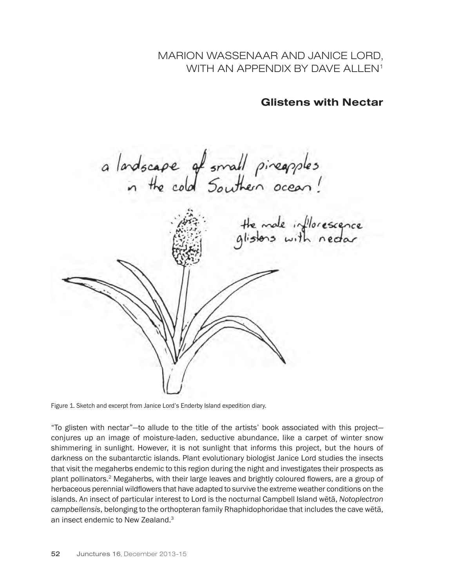MARION WASSENAAR AND JANICE LORD, WITH AN APPENDIX BY DAVE ALLEN<sup>1</sup>

Glistens with Nectar

a landscape of small pineapples<br>in the cold Southern ocean!

the mode inflorescence<br>glistens with nector

Figure 1. Sketch and excerpt from Janice Lord's Enderby Island expedition diary.

"To glisten with nectar"—to allude to the title of the artists' book associated with this project conjures up an image of moisture-laden, seductive abundance, like a carpet of winter snow shimmering in sunlight. However, it is not sunlight that informs this project, but the hours of darkness on the subantarctic islands. Plant evolutionary biologist Janice Lord studies the insects that visit the megaherbs endemic to this region during the night and investigates their prospects as plant pollinators.2 Megaherbs, with their large leaves and brightly coloured flowers, are a group of herbaceous perennial wildflowers that have adapted to survive the extreme weather conditions on the islands. An insect of particular interest to Lord is the nocturnal Campbell Island wētā, *Notoplectron campbellensis*, belonging to the orthopteran family Rhaphidophoridae that includes the cave wētā, an insect endemic to New Zealand.3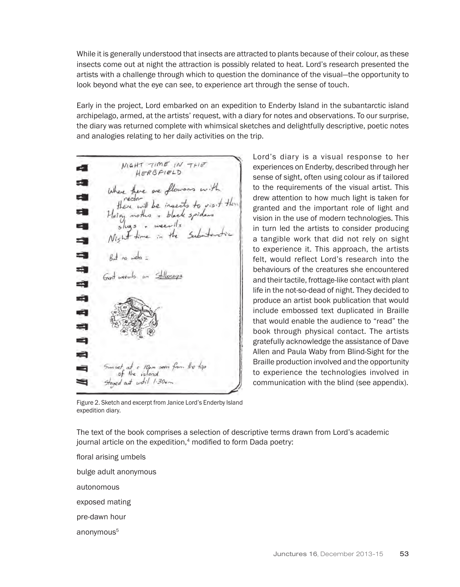While it is generally understood that insects are attracted to plants because of their colour, as these insects come out at night the attraction is possibly related to heat. Lord's research presented the artists with a challenge through which to question the dominance of the visual—the opportunity to look beyond what the eye can see, to experience art through the sense of touch.

Early in the project, Lord embarked on an expedition to Enderby Island in the subantarctic island archipelago, armed, at the artists' request, with a diary for notes and observations. To our surprise, the diary was returned complete with whimsical sketches and delightfully descriptive, poetic notes and analogies relating to her daily activities on the trip.

MIGHT TIME IN THE d. HERBFIELD Where there are flowers with<br>there will be insects to visit then<br>Heiry mother + black spiders -20 ٣Ŵ 大道 20 Ś 3 But no week ÷ e Pa á ١Ź. ٣Ì ÷ a 10pm seven fro at until 1.30.

Lord's diary is a visual response to her experiences on Enderby, described through her sense of sight, often using colour as if tailored to the requirements of the visual artist. This drew attention to how much light is taken for granted and the important role of light and vision in the use of modern technologies. This in turn led the artists to consider producing a tangible work that did not rely on sight to experience it. This approach, the artists felt, would reflect Lord's research into the behaviours of the creatures she encountered and their tactile, frottage-like contact with plant life in the not-so-dead of night. They decided to produce an artist book publication that would include embossed text duplicated in Braille that would enable the audience to "read" the book through physical contact. The artists gratefully acknowledge the assistance of Dave Allen and Paula Waby from Blind-Sight for the Braille production involved and the opportunity to experience the technologies involved in communication with the blind (see appendix).

Figure 2. Sketch and excerpt from Janice Lord's Enderby Island expedition diary.

The text of the book comprises a selection of descriptive terms drawn from Lord's academic journal article on the expedition,<sup>4</sup> modified to form Dada poetry:

floral arising umbels bulge adult anonymous autonomous exposed mating

pre-dawn hour

anonymous<sup>5</sup>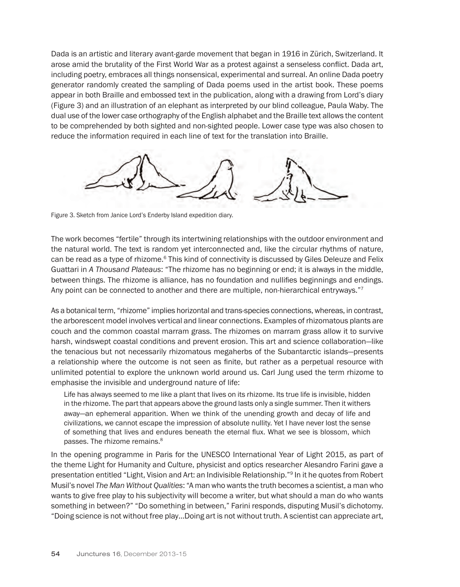Dada is an artistic and literary avant-garde movement that began in 1916 in Zürich, Switzerland. It arose amid the brutality of the First World War as a protest against a senseless conflict. Dada art, including poetry, embraces all things nonsensical, experimental and surreal. An online Dada poetry generator randomly created the sampling of Dada poems used in the artist book. These poems appear in both Braille and embossed text in the publication, along with a drawing from Lord's diary (Figure 3) and an illustration of an elephant as interpreted by our blind colleague, Paula Waby. The dual use of the lower case orthography of the English alphabet and the Braille text allows the content to be comprehended by both sighted and non-sighted people. Lower case type was also chosen to reduce the information required in each line of text for the translation into Braille.



Figure 3. Sketch from Janice Lord's Enderby Island expedition diary.

The work becomes "fertile" through its intertwining relationships with the outdoor environment and the natural world. The text is random yet interconnected and, like the circular rhythms of nature, can be read as a type of rhizome.<sup>6</sup> This kind of connectivity is discussed by Giles Deleuze and Felix Guattari in *A Thousand Plateaus*: "The rhizome has no beginning or end; it is always in the middle, between things. The rhizome is alliance, has no foundation and nullifies beginnings and endings. Any point can be connected to another and there are multiple, non-hierarchical entryways."7

As a botanical term, "rhizome" implies horizontal and trans-species connections, whereas, in contrast, the arborescent model involves vertical and linear connections. Examples of rhizomatous plants are couch and the common coastal marram grass. The rhizomes on marram grass allow it to survive harsh, windswept coastal conditions and prevent erosion. This art and science collaboration—like the tenacious but not necessarily rhizomatous megaherbs of the Subantarctic islands—presents a relationship where the outcome is not seen as finite, but rather as a perpetual resource with unlimited potential to explore the unknown world around us. Carl Jung used the term rhizome to emphasise the invisible and underground nature of life:

Life has always seemed to me like a plant that lives on its rhizome. Its true life is invisible, hidden in the rhizome. The part that appears above the ground lasts only a single summer. Then it withers away—an ephemeral apparition. When we think of the unending growth and decay of life and civilizations, we cannot escape the impression of absolute nullity. Yet I have never lost the sense of something that lives and endures beneath the eternal flux. What we see is blossom, which passes. The rhizome remains.<sup>8</sup>

In the opening programme in Paris for the UNESCO International Year of Light 2015, as part of the theme Light for Humanity and Culture, physicist and optics researcher Alesandro Farini gave a presentation entitled "Light, Vision and Art: an Indivisible Relationship."9 In it he quotes from Robert Musil's novel *The Man Without Qualities*: "A man who wants the truth becomes a scientist, a man who wants to give free play to his subjectivity will become a writer, but what should a man do who wants something in between?" "Do something in between," Farini responds, disputing Musil's dichotomy. "Doing science is not without free play…Doing art is not without truth. A scientist can appreciate art,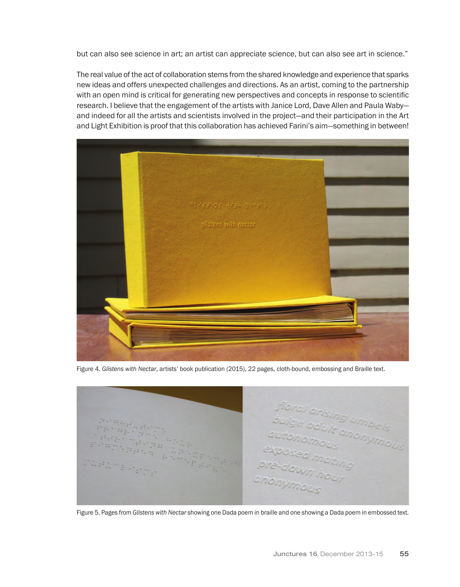but can also see science in art; an artist can appreciate science, but can also see art in science."

The real value of the act of collaboration stems from the shared knowledge and experience that sparks new ideas and offers unexpected challenges and directions. As an artist, coming to the partnership with an open mind is critical for generating new perspectives and concepts in response to scientific research. I believe that the engagement of the artists with Janice Lord, Dave Allen and Paula Waby and indeed for all the artists and scientists involved in the project—and their participation in the Art and Light Exhibition is proof that this collaboration has achieved Farini's aim—something in between!



Figure 4. *Glistens with Nectar*, artists' book publication (2015), 22 pages, cloth-bound, embossing and Braille text.



Figure 5. Pages from *Glistens with Nectar* showing one Dada poem in braille and one showing a Dada poem in embossed text.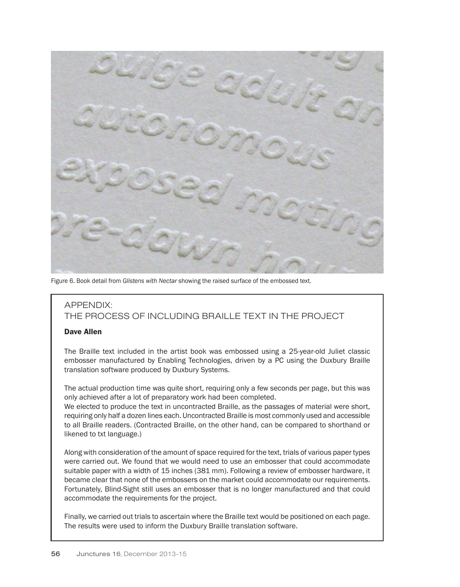

Figure 6. Book detail from *Glistens with Nectar* showing the raised surface of the embossed text.

## APPENDIX: THE PROCESS OF INCLUDING BRAILLE TEXT IN THE PROJECT

## Dave Allen

The Braille text included in the artist book was embossed using a 25-year-old Juliet classic embosser manufactured by Enabling Technologies, driven by a PC using the Duxbury Braille translation software produced by Duxbury Systems.

The actual production time was quite short, requiring only a few seconds per page, but this was only achieved after a lot of preparatory work had been completed.

We elected to produce the text in uncontracted Braille, as the passages of material were short, requiring only half a dozen lines each. Uncontracted Braille is most commonly used and accessible to all Braille readers. (Contracted Braille, on the other hand, can be compared to shorthand or likened to txt language.)

Along with consideration of the amount of space required for the text, trials of various paper types were carried out. We found that we would need to use an embosser that could accommodate suitable paper with a width of 15 inches (381 mm). Following a review of embosser hardware, it became clear that none of the embossers on the market could accommodate our requirements. Fortunately, Blind-Sight still uses an embosser that is no longer manufactured and that could accommodate the requirements for the project.

Finally, we carried out trials to ascertain where the Braille text would be positioned on each page. The results were used to inform the Duxbury Braille translation software.